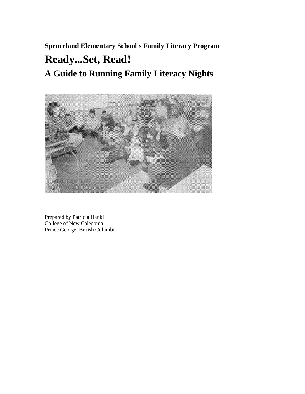**Spruceland Elementary School's Family Literacy Program** 

# **Ready...Set, Read!**

**A Guide to Running Family Literacy Nights** 



Prepared by Patricia Hanki College of New Caledonia Prince George, British Columbia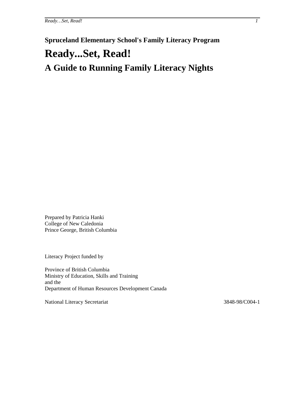# **Spruceland Elementary School's Family Literacy Program Ready...Set, Read! A Guide to Running Family Literacy Nights**

Prepared by Patricia Hanki College of New Caledonia Prince George, British Columbia

Literacy Project funded by

Province of British Columbia Ministry of Education, Skills and Training and the Department of Human Resources Development Canada

National Literacy Secretariat 3848-98/C004-1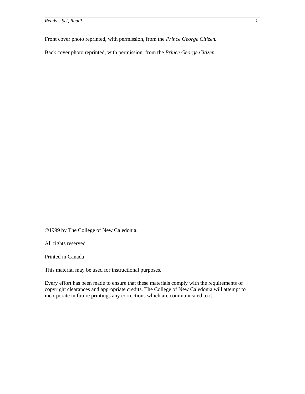*Ready…Set, Read! 1*

Front cover photo reprinted, with permission, from the *Prince George Citizen.*

Back cover photo reprinted, with permission, from the *Prince George Citizen.*

©1999 by The College of New Caledonia.

All rights reserved

Printed in Canada

This material may be used for instructional purposes.

Every effort has been made to ensure that these materials comply with the requirements of copyright clearances and appropriate credits. The College of New Caledonia will attempt to incorporate in future printings any corrections which are communicated to it.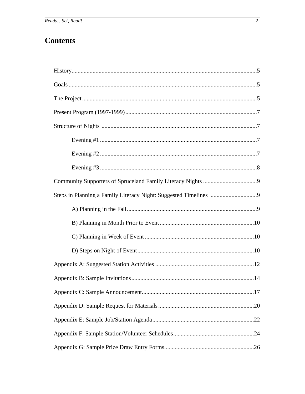## **Contents**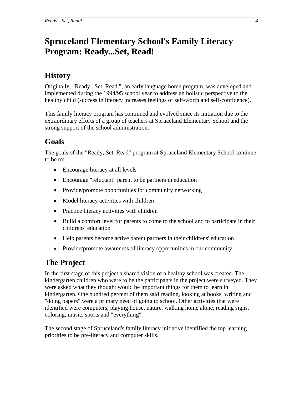## <span id="page-5-0"></span>**Spruceland Elementary School's Family Literacy Program: Ready...Set, Read!**

## **History**

Originally, "Ready...Set, Read ", an early language home program, was developed and implemented during the 1994/95 school year to address an holistic perspective to the healthy child (success in literacy increases feelings of self-worth and self-confidence).

This family literacy program has continued and evolved since its initiation due to the extraordinary efforts of a group of teachers at Spruceland Elementary School and the strong support of the school administration.

## **Goals**

The goals of the "Ready, Set, Read" program at Spruceland Elementary School continue to be to:

- Encourage literacy at all levels
- Encourage "reluctant" parent to be partners in education
- Provide/promote opportunities for community networking
- Model literacy activities with children
- Practice literacy activities with children
- Build a comfort level for parents to come to the school and to participate in their childrens' education
- Help parents become active parent partners in their childrens' education
- Provide/promote awareness of literacy opportunities in our community

## **The Project**

In the first stage of this project a shared vision of a healthy school was created. The kindergarten children who were to be the participants in the project were surveyed. They were asked what they thought would be important things for them to learn in kindergarten. One hundred percent of them said reading, looking at books, writing and "doing papers" were a primary need of going to school. Other activities that were identified were computers, playing house, nature, walking home alone, reading signs, coloring, music, sports and "everything".

The second stage of Spruceland's family literacy initiative identified the top learning priorities to be pre-literacy and computer skills.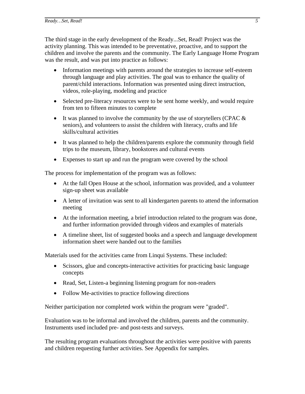<span id="page-6-0"></span>The third stage in the early development of the Ready...Set, Read! Project was the activity planning. This was intended to be preventative, proactive, and to support the children and involve the parents and the community. The Early Language Home Program was the result, and was put into practice as follows:

- Information meetings with parents around the strategies to increase self-esteem through language and play activities. The goal was to enhance the quality of parent/child interactions. Information was presented using direct instruction, videos, role-playing, modeling and practice
- Selected pre-literacy resources were to be sent home weekly, and would require from ten to fifteen minutes to complete
- It was planned to involve the community by the use of storytellers (CPAC  $\&$ seniors), and volunteers to assist the children with literacy, crafts and life skills/cultural activities
- It was planned to help the children/parents explore the community through field trips to the museum, library, bookstores and cultural events
- Expenses to start up and run the program were covered by the school

The process for implementation of the program was as follows:

- At the fall Open House at the school, information was provided, and a volunteer sign-up sheet was available
- A letter of invitation was sent to all kindergarten parents to attend the information meeting
- At the information meeting, a brief introduction related to the program was done, and further information provided through videos and examples of materials
- A timeline sheet, list of suggested books and a speech and language development information sheet were handed out to the families

Materials used for the activities came from Linqui Systems. These included:

- Scissors, glue and concepts-interactive activities for practicing basic language concepts
- Read, Set, Listen-a beginning listening program for non-readers
- Follow Me-activities to practice following directions

Neither participation nor completed work within the program were "graded".

Evaluation was to be informal and involved the children, parents and the community. Instruments used included pre- and post-tests and surveys.

The resulting program evaluations throughout the activities were positive with parents and children requesting further activities. See Appendix for samples.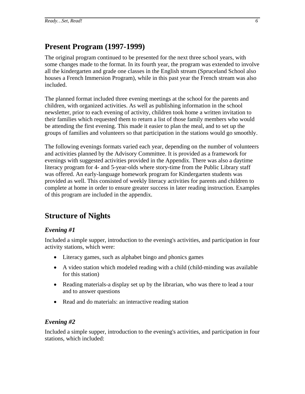## <span id="page-7-0"></span>**Present Program (1997-1999)**

The original program continued to be presented for the next three school years, with some changes made to the format. In its fourth year, the program was extended to involve all the kindergarten and grade one classes in the English stream (Spruceland School also houses a French Immersion Program), while in this past year the French stream was also included.

The planned format included three evening meetings at the school for the parents and children, with organized activities. As well as publishing information in the school newsletter, prior to each evening of activity, children took home a written invitation to their families which requested them to return a list of those family members who would be attending the first evening. This made it easier to plan the meal, and to set up the groups of families and volunteers so that participation in the stations would go smoothly.

The following evenings formats varied each year, depending on the number of volunteers and activities planned by the Advisory Committee. It is provided as a framework for evenings with suggested activities provided in the Appendix. There was also a daytime literacy program for 4- and 5-year-olds where story-time from the Public Library staff was offered. An early-language homework program for Kindergarten students was provided as well. This consisted of weekly literacy activities for parents and children to complete at home in order to ensure greater success in later reading instruction. Examples of this program are included in the appendix.

## **Structure of Nights**

#### *Evening #1*

Included a simple supper, introduction to the evening's activities, and participation in four activity stations, which were:

- Literacy games, such as alphabet bingo and phonics games
- A video station which modeled reading with a child (child-minding was available for this station)
- Reading materials-a display set up by the librarian, who was there to lead a tour and to answer questions
- Read and do materials: an interactive reading station

#### *Evening #2*

Included a simple supper, introduction to the evening's activities, and participation in four stations, which included: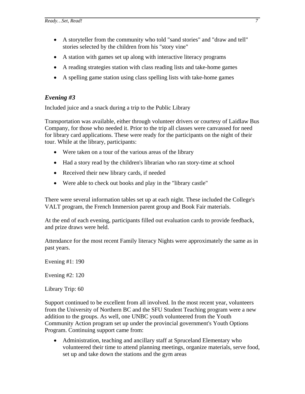- <span id="page-8-0"></span>• A storyteller from the community who told "sand stories" and "draw and tell" stories selected by the children from his "story vine"
- A station with games set up along with interactive literacy programs
- A reading strategies station with class reading lists and take-home games
- A spelling game station using class spelling lists with take-home games

#### *Evening #3*

Included juice and a snack during a trip to the Public Library

Transportation was available, either through volunteer drivers or courtesy of Laidlaw Bus Company, for those who needed it. Prior to the trip all classes were canvassed for need for library card applications. These were ready for the participants on the night of their tour. While at the library, participants:

- Were taken on a tour of the various areas of the library
- Had a story read by the children's librarian who ran story-time at school
- Received their new library cards, if needed
- Were able to check out books and play in the "library castle"

There were several information tables set up at each night. These included the College's VALT program, the French Immersion parent group and Book Fair materials.

At the end of each evening, participants filled out evaluation cards to provide feedback, and prize draws were held.

Attendance for the most recent Family literacy Nights were approximately the same as in past years.

Evening #1: 190

Evening #2: 120

Library Trip: 60

Support continued to be excellent from all involved. In the most recent year, volunteers from the University of Northern BC and the SFU Student Teaching program were a new addition to the groups. As well, one UNBC youth volunteered from the Youth Community Action program set up under the provincial government's Youth Options Program. Continuing support came from:

• Administration, teaching and ancillary staff at Spruceland Elementary who volunteered their time to attend planning meetings, organize materials, serve food, set up and take down the stations and the gym areas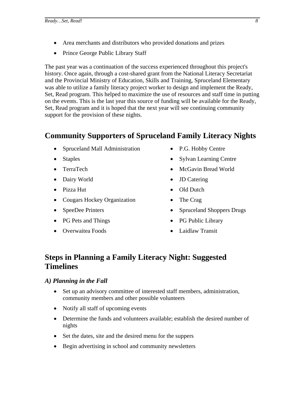- <span id="page-9-0"></span>• Area merchants and distributors who provided donations and prizes
- Prince George Public Library Staff

The past year was a continuation of the success experienced throughout this project's history. Once again, through a cost-shared grant from the National Literacy Secretariat and the Provincial Ministry of Education, Skills and Training, Spruceland Elementary was able to utilize a family literacy project worker to design and implement the Ready, Set, Read program. This helped to maximize the use of resources and staff time in putting on the events. This is the last year this source of funding will be available for the Ready, Set, Read program and it is hoped that the next year will see continuing community support for the provision of these nights.

## **Community Supporters of Spruceland Family Literacy Nights**

- Spruceland Mall Administration
- Staples
- TerraTech
- Dairy World
- Pizza Hut
- Cougars Hockey Organization
- SpeeDee Printers
- PG Pets and Things
- Overwaitea Foods
- P.G. Hobby Centre
- Sylvan Learning Centre
- McGavin Bread World
- **JD** Catering
- Old Dutch
- The Crag
- Spruceland Shoppers Drugs
- PG Public Library
- Laidlaw Transit

## **Steps in Planning a Family Literacy Night: Suggested Timelines**

#### *A) Planning in the Fall*

- Set up an advisory committee of interested staff members, administration, community members and other possible volunteers
- Notify all staff of upcoming events
- Determine the funds and volunteers available; establish the desired number of nights
- Set the dates, site and the desired menu for the suppers
- Begin advertising in school and community newsletters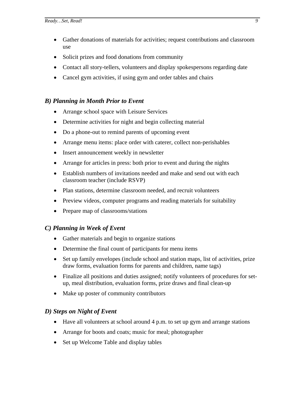- <span id="page-10-0"></span>• Gather donations of materials for activities; request contributions and classroom use
- Solicit prizes and food donations from community
- Contact all story-tellers, volunteers and display spokespersons regarding date
- Cancel gym activities, if using gym and order tables and chairs

#### *B) Planning in Month Prior to Event*

- Arrange school space with Leisure Services
- Determine activities for night and begin collecting material
- Do a phone-out to remind parents of upcoming event
- Arrange menu items: place order with caterer, collect non-perishables
- Insert announcement weekly in newsletter
- Arrange for articles in press: both prior to event and during the nights
- Establish numbers of invitations needed and make and send out with each classroom teacher (include RSVP)
- Plan stations, determine classroom needed, and recruit volunteers
- Preview videos, computer programs and reading materials for suitability
- Prepare map of classrooms/stations

#### *C) Planning in Week of Event*

- Gather materials and begin to organize stations
- Determine the final count of participants for menu items
- Set up family envelopes (include school and station maps, list of activities, prize draw forms, evaluation forms for parents and children, name tags)
- Finalize all positions and duties assigned; notify volunteers of procedures for setup, meal distribution, evaluation forms, prize draws and final clean-up
- Make up poster of community contributors

#### *D) Steps on Night of Event*

- Have all volunteers at school around 4 p.m. to set up gym and arrange stations
- Arrange for boots and coats; music for meal; photographer
- Set up Welcome Table and display tables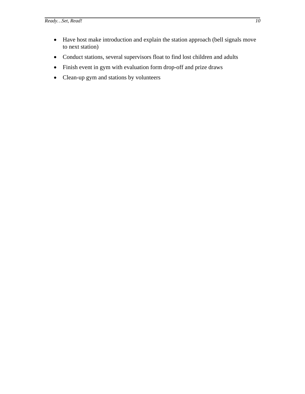- <span id="page-11-0"></span>• Have host make introduction and explain the station approach (bell signals move to next station)
- Conduct stations, several supervisors float to find lost children and adults
- Finish event in gym with evaluation form drop-off and prize draws
- Clean-up gym and stations by volunteers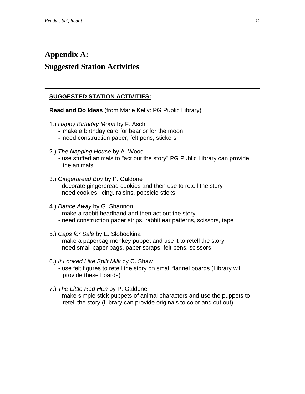## <span id="page-13-0"></span>**Appendix A: Suggested Station Activities**

#### **SUGGESTED STATION ACTIVITIES:**

**Read and Do Ideas** (from Marie Kelly: PG Public Library)

- 1.) *Happy Birthday Moon* by F. Asch
	- make a birthday card for bear or for the moon
	- need construction paper, felt pens, stickers
- 2.) *The Napping House* by A. Wood
	- use stuffed animals to "act out the story" PG Public Library can provide the animals
- 3.) *Gingerbread Boy* by P. Galdone
	- decorate gingerbread cookies and then use to retell the story
	- need cookies, icing, raisins, popsicle sticks

#### 4.) *Dance Away* by G. Shannon

- make a rabbit headband and then act out the story
- need construction paper strips, rabbit ear patterns, scissors, tape
- 5.) *Caps for Sale* by E. Slobodkina
	- make a paperbag monkey puppet and use it to retell the story
	- need small paper bags, paper scraps, felt pens, scissors
- 6.) *It Looked Like Spilt Milk* by C. Shaw
	- use felt figures to retell the story on small flannel boards (Library will provide these boards)
- 7.) *The Little Red Hen* by P. Galdone
	- make simple stick puppets of animal characters and use the puppets to retell the story (Library can provide originals to color and cut out)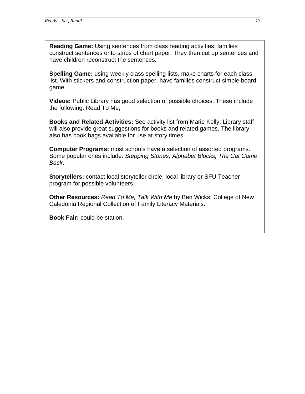**Reading Game:** Using sentences from class reading activities, families construct sentences onto strips of chart paper. They then cut up sentences and have children reconstruct the sentences.

**Spelling Game:** using weekly class spelling lists, make charts for each class list. With stickers and construction paper, have families construct simple board game.

**Videos:** Public Library has good selection of possible choices. These include the following: Read To Me;

**Books and Related Activities:** See activity list from Marie Kelly; Library staff will also provide great suggestions for books and related games. The library also has book bags available for use at story times.

**Computer Programs:** most schools have a selection of assorted programs. Some popular ones include: *Stepping Stones, Alphabet Blocks, The Cat Came Back*.

**Storytellers:** contact local storyteller circle, local library or SFU Teacher program for possible volunteers.

**Other Resources:** *Read To Me, Talk With Me* by Ben Wicks; College of New Caledonia Regional Collection of Family Literacy Materials.

**Book Fair:** could be station.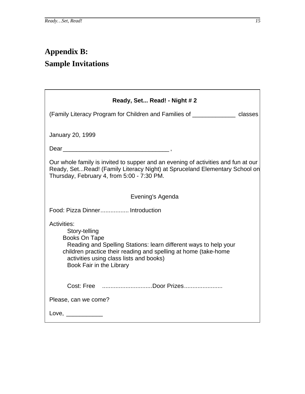# <span id="page-16-0"></span>**Appendix B: Sample Invitations**

| Ready, Set Read! - Night # 2                                                                                                                                                                                                                                              |
|---------------------------------------------------------------------------------------------------------------------------------------------------------------------------------------------------------------------------------------------------------------------------|
| (Family Literacy Program for Children and Families of _____________ classes                                                                                                                                                                                               |
|                                                                                                                                                                                                                                                                           |
| January 20, 1999                                                                                                                                                                                                                                                          |
|                                                                                                                                                                                                                                                                           |
| Our whole family is invited to supper and an evening of activities and fun at our<br>Ready, SetRead! (Family Literacy Night) at Spruceland Elementary School on<br>Thursday, February 4, from 5:00 - 7:30 PM.                                                             |
| Evening's Agenda                                                                                                                                                                                                                                                          |
| Food: Pizza Dinner Introduction                                                                                                                                                                                                                                           |
| <b>Activities:</b><br>Story-telling<br><b>Books On Tape</b><br>Reading and Spelling Stations: learn different ways to help your<br>children practice their reading and spelling at home (take-home<br>activities using class lists and books)<br>Book Fair in the Library |
| Cost: Free Door Prizes                                                                                                                                                                                                                                                    |
| Please, can we come?                                                                                                                                                                                                                                                      |
| Love, $\overline{\phantom{a}}$                                                                                                                                                                                                                                            |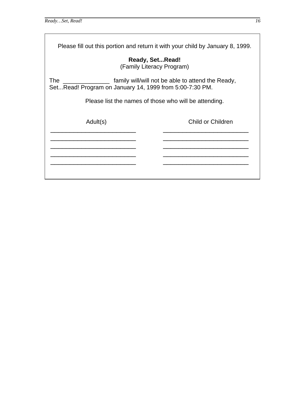Please fill out this portion and return it with your child by January 8, 1999.

**Ready, Set...Read!**  (Family Literacy Program)

The \_\_\_\_\_\_\_\_\_\_\_\_\_\_ family will/will not be able to attend the Ready, Set...Read! Program on January 14, 1999 from 5:00-7:30 PM.

Please list the names of those who will be attending.

\_\_\_\_\_\_\_\_\_\_\_\_\_\_\_\_\_\_\_\_\_\_

Adult(s) Child or Children

\_\_\_\_\_\_\_\_\_\_\_\_\_\_\_\_\_\_\_\_\_\_

\_\_\_\_\_\_\_\_\_\_\_\_\_\_\_\_\_\_\_\_\_\_ \_\_\_\_\_\_\_\_\_\_\_\_\_\_\_\_\_\_\_\_\_\_  $\frac{1}{2}$  ,  $\frac{1}{2}$  ,  $\frac{1}{2}$  ,  $\frac{1}{2}$  ,  $\frac{1}{2}$  ,  $\frac{1}{2}$  ,  $\frac{1}{2}$  ,  $\frac{1}{2}$  ,  $\frac{1}{2}$  ,  $\frac{1}{2}$  ,  $\frac{1}{2}$  ,  $\frac{1}{2}$  ,  $\frac{1}{2}$  ,  $\frac{1}{2}$  ,  $\frac{1}{2}$  ,  $\frac{1}{2}$  ,  $\frac{1}{2}$  ,  $\frac{1}{2}$  ,  $\frac{1$ \_\_\_\_\_\_\_\_\_\_\_\_\_\_\_\_\_\_\_\_\_\_  $\overline{a}$ \_\_\_\_\_\_\_\_\_\_\_\_\_\_\_\_\_\_\_\_\_\_ \_\_\_\_\_\_\_\_\_\_\_\_\_\_\_\_\_\_\_\_\_\_ \_\_\_\_\_\_\_\_\_\_\_\_\_\_\_\_\_\_\_\_\_\_ \_\_\_\_\_\_\_\_\_\_\_\_\_\_\_\_\_\_\_\_\_\_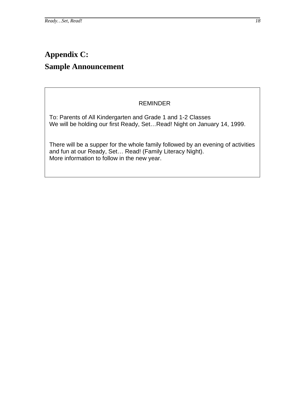## <span id="page-19-0"></span>**Appendix C: Sample Announcement**

## REMINDER

To: Parents of All Kindergarten and Grade 1 and 1-2 Classes We will be holding our first Ready, Set…Read! Night on January 14, 1999.

There will be a supper for the whole family followed by an evening of activities and fun at our Ready, Set… Read! (Family Literacy Night). More information to follow in the new year.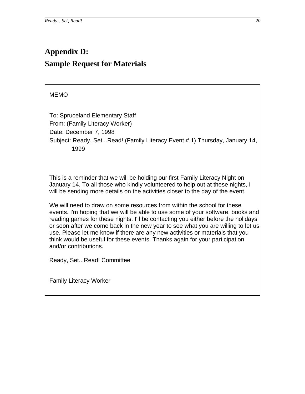## <span id="page-21-0"></span>**Appendix D: Sample Request for Materials**

## MEMO

To: Spruceland Elementary Staff From: (Family Literacy Worker) Date: December 7, 1998 Subject: Ready, Set...Read! (Family Literacy Event # 1) Thursday, January 14, 1999

This is a reminder that we will be holding our first Family Literacy Night on January 14. To all those who kindly volunteered to help out at these nights, I will be sending more details on the activities closer to the day of the event.

We will need to draw on some resources from within the school for these events. I'm hoping that we will be able to use some of your software, books and reading games for these nights. I'll be contacting you either before the holidays or soon after we come back in the new year to see what you are willing to let us use. Please let me know if there are any new activities or materials that you think would be useful for these events. Thanks again for your participation and/or contributions.

Ready, Set...Read! Committee

Family Literacy Worker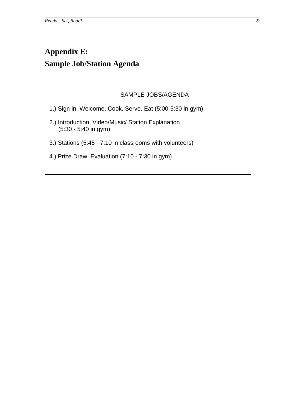## <span id="page-23-0"></span>**Appendix E: Sample Job/Station Agenda**

#### SAMPLE JOBS/AGENDA

- 1.) Sign in, Welcome, Cook, Serve, Eat (5:00-5:30 in gym)
- 2.) Introduction, Video/Music/ Station Explanation (5:30 - 5:40 in gym)
- 3.) Stations (5:45 7:10 in classrooms with volunteers)
- 4.) Prize Draw, Evaluation (7:10 7:30 in gym)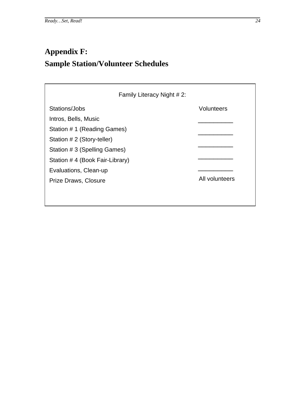# <span id="page-25-0"></span>**Appendix F: Sample Station/Volunteer Schedules**

| Family Literacy Night # 2:     |                   |
|--------------------------------|-------------------|
| Stations/Jobs                  | <b>Volunteers</b> |
| Intros, Bells, Music           |                   |
| Station #1 (Reading Games)     |                   |
| Station # 2 (Story-teller)     |                   |
| Station # 3 (Spelling Games)   |                   |
| Station #4 (Book Fair-Library) |                   |
| Evaluations, Clean-up          |                   |
| Prize Draws, Closure           | All volunteers    |
|                                |                   |
|                                |                   |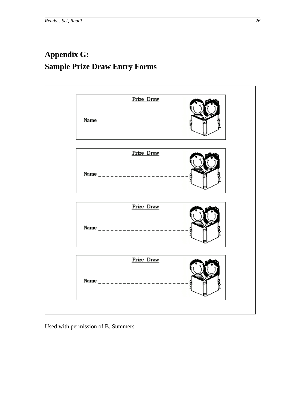## <span id="page-27-0"></span>**Appendix G: Sample Prize Draw Entry Forms**



Used with permission of B. Summers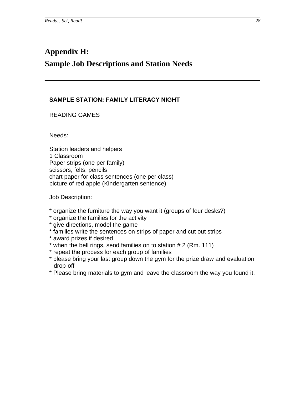## <span id="page-29-0"></span>**Appendix H: Sample Job Descriptions and Station Needs**



\* Please bring materials to gym and leave the classroom the way you found it.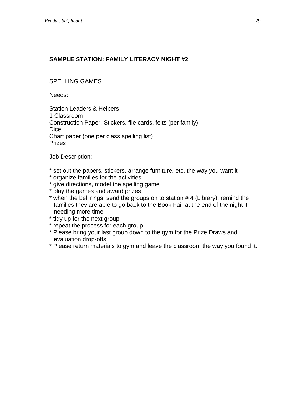## **SAMPLE STATION: FAMILY LITERACY NIGHT #2**

#### SPELLING GAMES

Needs:

Station Leaders & Helpers 1 Classroom Construction Paper, Stickers, file cards, felts (per family) **Dice** Chart paper (one per class spelling list) Prizes

- \* set out the papers, stickers, arrange furniture, etc. the way you want it
- \* organize families for the activities
- \* give directions, model the spelling game
- \* play the games and award prizes
- \* when the bell rings, send the groups on to station # 4 (Library), remind the families they are able to go back to the Book Fair at the end of the night it needing more time.
- \* tidy up for the next group
- \* repeat the process for each group
- \* Please bring your last group down to the gym for the Prize Draws and evaluation drop-offs
- \* Please return materials to gym and leave the classroom the way you found it.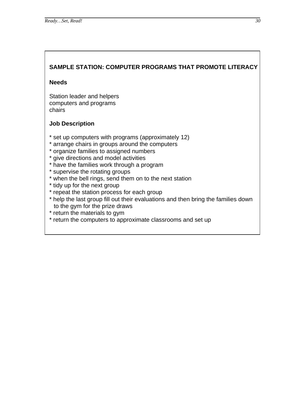## **SAMPLE STATION: COMPUTER PROGRAMS THAT PROMOTE LITERACY**

#### **Needs**

Station leader and helpers computers and programs chairs

- \* set up computers with programs (approximately 12)
- \* arrange chairs in groups around the computers
- \* organize families to assigned numbers
- \* give directions and model activities
- \* have the families work through a program
- \* supervise the rotating groups
- \* when the bell rings, send them on to the next station
- \* tidy up for the next group
- \* repeat the station process for each group
- \* help the last group fill out their evaluations and then bring the families down to the gym for the prize draws
- \* return the materials to gym
- \* return the computers to approximate classrooms and set up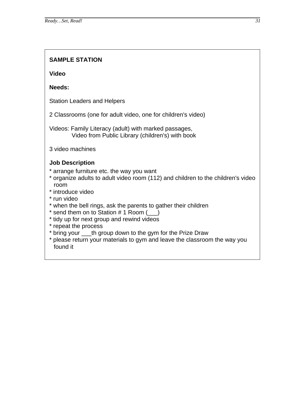## **SAMPLE STATION**

**Video** 

**Needs:** 

Station Leaders and Helpers

2 Classrooms (one for adult video, one for children's video)

Videos: Family Literacy (adult) with marked passages, Video from Public Library (children's) with book

3 video machines

- \* arrange furniture etc. the way you want
- \* organize adults to adult video room (112) and children to the children's video room
- \* introduce video
- \* run video
- \* when the bell rings, ask the parents to gather their children
- \* send them on to Station  $# 1$  Room  $(\_\_)$
- \* tidy up for next group and rewind videos
- \* repeat the process
- \* bring your \_\_\_th group down to the gym for the Prize Draw
- \* please return your materials to gym and leave the classroom the way you found it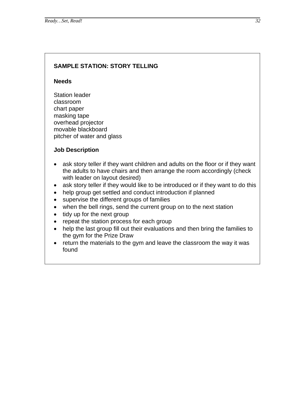#### **SAMPLE STATION: STORY TELLING**

#### **Needs**

Station leader classroom chart paper masking tape overhead projector movable blackboard pitcher of water and glass

- ask story teller if they want children and adults on the floor or if they want the adults to have chairs and then arrange the room accordingly (check with leader on layout desired)
- ask story teller if they would like to be introduced or if they want to do this
- help group get settled and conduct introduction if planned
- supervise the different groups of families
- when the bell rings, send the current group on to the next station
- tidy up for the next group
- repeat the station process for each group
- help the last group fill out their evaluations and then bring the families to the gym for the Prize Draw
- return the materials to the gym and leave the classroom the way it was found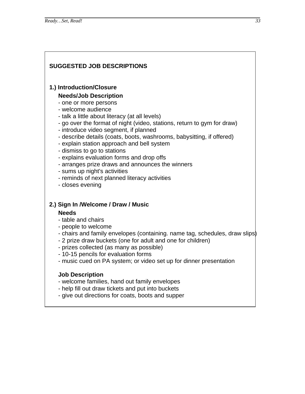#### **SUGGESTED JOB DESCRIPTIONS**

#### **1.) Introduction/Closure**

#### **Needs/Job Description**

- one or more persons
- welcome audience
- talk a little about literacy (at all levels)
- go over the format of night (video, stations, return to gym for draw)
- introduce video segment, if planned
- describe details (coats, boots, washrooms, babysitting, if offered)
- explain station approach and bell system
- dismiss to go to stations
- explains evaluation forms and drop offs
- arranges prize draws and announces the winners
- sums up night's activities
- reminds of next planned literacy activities
- closes evening

#### **2.) Sign In /Welcome / Draw / Music**

#### **Needs**

- table and chairs
- people to welcome
- chairs and family envelopes (containing. name tag, schedules, draw slips)
- 2 prize draw buckets (one for adult and one for children)
- prizes collected (as many as possible)
- 10-15 pencils for evaluation forms
- music cued on PA system; or video set up for dinner presentation

- welcome families, hand out family envelopes
- help fill out draw tickets and put into buckets
- give out directions for coats, boots and supper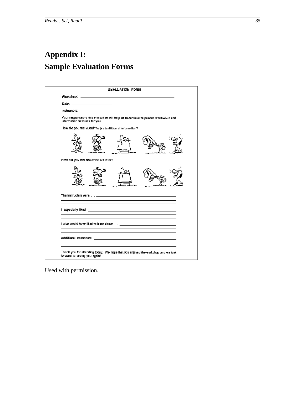## <span id="page-36-0"></span>**Appendix I: Sample Evaluation Forms**

|                                                                                                                                                                                                                                | EYALUATION FORM                                         |                                                                                      |
|--------------------------------------------------------------------------------------------------------------------------------------------------------------------------------------------------------------------------------|---------------------------------------------------------|--------------------------------------------------------------------------------------|
|                                                                                                                                                                                                                                |                                                         |                                                                                      |
| Date: the contract of the contract of the contract of the contract of the contract of the contract of the contract of the contract of the contract of the contract of the contract of the contract of the contract of the cont |                                                         |                                                                                      |
|                                                                                                                                                                                                                                | Instructors: www.instructors.com/instructors/           |                                                                                      |
| Information sessions for you.                                                                                                                                                                                                  |                                                         | Your responses to this evaluation will help US to continue to provide worthwhile and |
|                                                                                                                                                                                                                                | How did you feel sbout the presentation of information? |                                                                                      |
|                                                                                                                                                                                                                                |                                                         |                                                                                      |
| How did you feel about the activities?                                                                                                                                                                                         |                                                         |                                                                                      |
|                                                                                                                                                                                                                                |                                                         |                                                                                      |
|                                                                                                                                                                                                                                |                                                         |                                                                                      |
|                                                                                                                                                                                                                                |                                                         |                                                                                      |
|                                                                                                                                                                                                                                |                                                         |                                                                                      |
|                                                                                                                                                                                                                                |                                                         |                                                                                      |
|                                                                                                                                                                                                                                |                                                         | Thank you for attending today. We hope that you enjoyed the workshop and we look     |

Used with permission.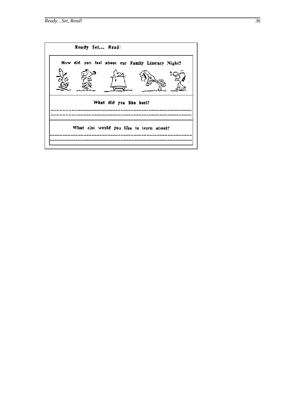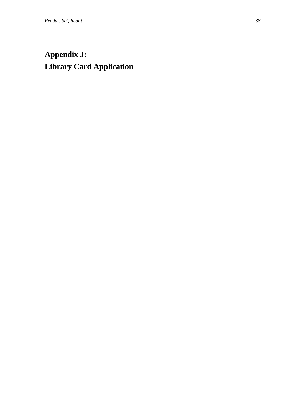## <span id="page-39-0"></span>**Appendix J: Library Card Application**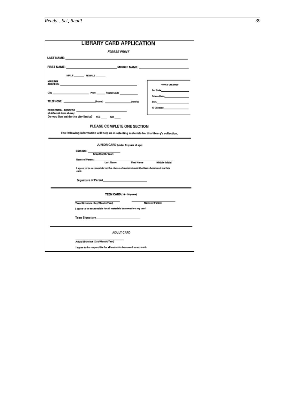| <b>LIBRARY CARD APPLICATION</b>                                                                                                                                                                                                |                                                                                                                                                                                                                                                                             |  |  |  |  |
|--------------------------------------------------------------------------------------------------------------------------------------------------------------------------------------------------------------------------------|-----------------------------------------------------------------------------------------------------------------------------------------------------------------------------------------------------------------------------------------------------------------------------|--|--|--|--|
| <b>PLEASE PRINT</b>                                                                                                                                                                                                            |                                                                                                                                                                                                                                                                             |  |  |  |  |
| LAST NAME: The contract of the contract of the contract of the contract of the contract of the contract of the                                                                                                                 |                                                                                                                                                                                                                                                                             |  |  |  |  |
|                                                                                                                                                                                                                                |                                                                                                                                                                                                                                                                             |  |  |  |  |
| MALE FEMALE                                                                                                                                                                                                                    |                                                                                                                                                                                                                                                                             |  |  |  |  |
| <b>MAILING</b><br>ADDRESS: ADDRESS: A CONTRACTOR CONTRACTOR CONTRACTOR                                                                                                                                                         | OFFICE USE ONLY                                                                                                                                                                                                                                                             |  |  |  |  |
|                                                                                                                                                                                                                                | Bar Code <b>All Code</b>                                                                                                                                                                                                                                                    |  |  |  |  |
| TELEPHONE: (home) (home) (work)                                                                                                                                                                                                | Petron Code <b>All Annual Street Code</b><br>Stat. The contract of the contract of the contract of the contract of the contract of the contract of the contract of the contract of the contract of the contract of the contract of the contract of the contract of the cont |  |  |  |  |
|                                                                                                                                                                                                                                | ID Checked <b>All Charles Containers</b>                                                                                                                                                                                                                                    |  |  |  |  |
| RESIDENTIAL ADDRESS __________________________________<br>(if different from above):<br>Do you live inside the city limits? YES _____ NO ____                                                                                  |                                                                                                                                                                                                                                                                             |  |  |  |  |
|                                                                                                                                                                                                                                |                                                                                                                                                                                                                                                                             |  |  |  |  |
| PLEASE COMPLETE ONE SECTION                                                                                                                                                                                                    |                                                                                                                                                                                                                                                                             |  |  |  |  |
| The following information will help us in selecting materials for this library's collection.                                                                                                                                   |                                                                                                                                                                                                                                                                             |  |  |  |  |
| JUNIOR CARD (under 14 years of ago)                                                                                                                                                                                            |                                                                                                                                                                                                                                                                             |  |  |  |  |
| Birthdate:<br>(Day/Month/Year)                                                                                                                                                                                                 |                                                                                                                                                                                                                                                                             |  |  |  |  |
| Name of Parent:_____<br>First Name<br><b>Last Name</b>                                                                                                                                                                         | <b>Middle Initial</b>                                                                                                                                                                                                                                                       |  |  |  |  |
| I agree to be responsible for the choice of materials and the items borrowed on this<br>card.                                                                                                                                  |                                                                                                                                                                                                                                                                             |  |  |  |  |
| Signature of Parent and Contract and Contract of Parent and Contract and Contract of the Contract of the Contract of the Contract of the Contract of the Contract of the Contract of the Contract of the Contract of the Contr |                                                                                                                                                                                                                                                                             |  |  |  |  |
|                                                                                                                                                                                                                                |                                                                                                                                                                                                                                                                             |  |  |  |  |
| TEEN CARD (14 - 18 years)                                                                                                                                                                                                      |                                                                                                                                                                                                                                                                             |  |  |  |  |
| Teen Birthdate (Day/Month/Year)                                                                                                                                                                                                | <b>Name of Parent</b>                                                                                                                                                                                                                                                       |  |  |  |  |
| I agree to be responsible for all materials borrowed on my card.                                                                                                                                                               |                                                                                                                                                                                                                                                                             |  |  |  |  |
| Teen Signature <b>Executive Service School School</b>                                                                                                                                                                          |                                                                                                                                                                                                                                                                             |  |  |  |  |
| <b>ADULT CARD</b>                                                                                                                                                                                                              |                                                                                                                                                                                                                                                                             |  |  |  |  |
| Adult Birthdate (Day/Month/Year)                                                                                                                                                                                               |                                                                                                                                                                                                                                                                             |  |  |  |  |
| I agree to be responsible for all materials borrowed on my card.                                                                                                                                                               |                                                                                                                                                                                                                                                                             |  |  |  |  |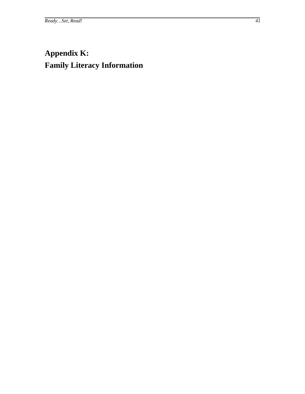## **Appendix K: Family Literacy Information**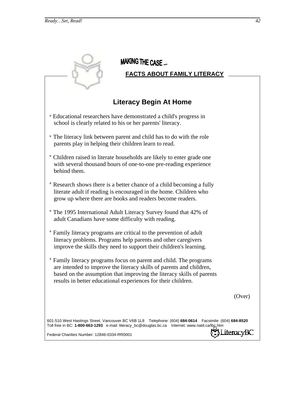| <b>MAKING THE CASE</b><br><b>FACTS ABOUT FAMILY LITERACY</b>                                                                                                                                                                                                                         |
|--------------------------------------------------------------------------------------------------------------------------------------------------------------------------------------------------------------------------------------------------------------------------------------|
| <b>Literacy Begin At Home</b>                                                                                                                                                                                                                                                        |
| <sup>o</sup> Educational researchers have demonstrated a child's progress in<br>school is clearly related to his or her parents' literacy.                                                                                                                                           |
| • The literacy link between parent and child has to do with the role<br>parents play in helping their children learn to read.                                                                                                                                                        |
| <sup>o</sup> Children raised in literate households are likely to enter grade one<br>with several thousand hours of one-to-one pre-reading experience<br>behind them.                                                                                                                |
| • Research shows there is a better chance of a child becoming a fully<br>literate adult if reading is encouraged in the home. Children who<br>grow up where there are books and readers become readers.                                                                              |
| ° The 1995 International Adult Literacy Survey found that 42% of<br>adult Canadians have some difficulty with reading.                                                                                                                                                               |
| • Family literacy programs are critical to the prevention of adult<br>literacy problems. Programs help parents and other caregivers<br>improve the skills they need to support their children's learning.                                                                            |
| • Family literacy programs focus on parent and child. The programs<br>are intended to improve the literacy skills of parents and children,<br>based on the assumption that improving the literacy skills of parents<br>results in better educational experiences for their children. |
| (Over)                                                                                                                                                                                                                                                                               |
| 601-510 West Hastings Street, Vancouver BC V6B 1L8 Telephone: (604) 684-0614 Facsimile: (604) 684-8520<br>Toll free in BC: 1-800-663-1293 e-mail: literacy_bc@douglas.bc.ca Internet: www.nald.ca/lbc.htm<br>.iteracyBC<br>Federal Charities Number: 12846-0334-RR0001               |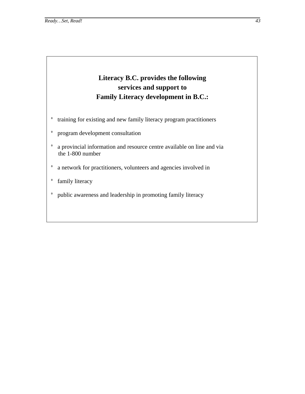## **Literacy B.C. provides the following services and support to Family Literacy development in B.C.:**

- ° training for existing and new family literacy program practitioners
- ° program development consultation
- ° a provincial information and resource centre available on line and via the 1-800 number
- ° a network for practitioners, volunteers and agencies involved in
- ° family literacy
- ° public awareness and leadership in promoting family literacy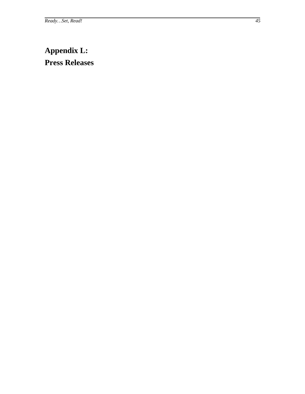## <span id="page-46-0"></span>**Appendix L: Press Releases**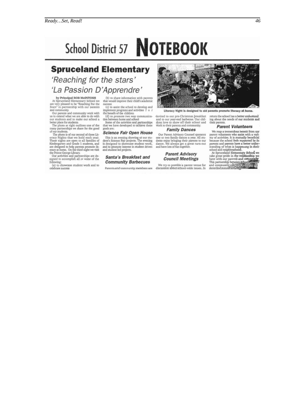# School District 57 **NOTEBOOK**

# **Spruceland Elementary**

## 'Reaching for the stars' 'La Passion D'Apprendre'

by Principal ROB McINTOSH At Spruceland Elementary School we are very pleased to be "Reaching For the Stars" in partnership with our parents and community. Our parents and community,

us to extend what we are able to do with our students and to make our school a<br>better place for students.<br>The photo ar right outlines one of the

The photo art right outlines one of the<br>many partnerships we share for the good<br>of our students.<br>The photo is of our second of three Lie-<br>erary Nights that we hold each year.<br>These nights are open to all families of<br>Kinder are designed to belp parents promote literacy at home, On the third night we visit the Prince George Library.

the Prince George Library.<br>Our activities and partnerships are designed to accomplish all or some of the following:

(a) to showcase student work and to<br>celebrate success

 $\left(\mathrm{b}\right)$  to share information with parents that would improve their child's academic success (c) to assist the school to develop and

implement programs and activities f o r<br>the benefit of the children

(d) to promote two way communication between home and school<br>some of the activities and partnerships<br>that we have developed to achieve these

#### goals are: **Science Fair Open House**

This is an evening showing of our student's Science Fair projects. The evening<br>is designed to showcase student work, and to promote interest in student driven<br>and student led projects.

#### Santa's Breakfast and **Community Barbecues**

Parents and community members are



Literacy Night is designed to ald parents promote literacy at home.

invited to our pre-Christmas breakfast<br>and to our year-end barbecue. Our chil-<br>dren love to show off their school and work to their parents and community.

#### **Family Dances**

Our Parent Advisory Counsel sponsors our ratem rutoway courses speaks.<br>All studies a result dents enjoy bringing their parents to our dance. We always get a great turn-out<br>and have lots of fun together.

#### **Parent Advisory Council Meetings**

We try to provide a parent venue for<br>discussion about school-wide issues. In

return the school has a better understand ing about the needs of our students and<br>their parents.

#### **Parent Volunteers**

We reap a tremendous benetit from our parent volunteers who assist with a vari-

parent volunteers who assist with a vari-<br>ery of activities. It is mutually beneficial the<br>equation because the school feels supported by its parents and parents have a better under<br>standing of what is happening in their<br>

46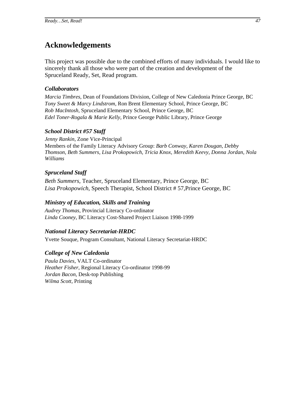## <span id="page-48-0"></span>**Acknowledgements**

This project was possible due to the combined efforts of many individuals. I would like to sincerely thank all those who were part of the creation and development of the Spruceland Ready, Set, Read program.

#### *Collaborators*

*Marcia Timbres,* Dean of Foundations Division, College of New Caledonia Prince George, BC *Tony Sweet & Marcy Lindstrom,* Ron Brent Elementary School, Prince George, BC *Rob MacIntosh,* Spruceland Elementary School, Prince George, BC *Edel Toner-Rogala & Marie Kelly,* Prince George Public Library, Prince George

#### *School District #57 Staff*

*Jenny Rankin*, Zone Vice-Principal Members of the Family Literacy Advisory Group: *Barb Conway, Karen Dougan, Debby Thomson, Beth Summers, Lisa Prokopowich, Tricia Knox, Meredith Keevy, Donna Jordan, Nola Williams*

#### *Spruceland Staff*

*Beth Summers,* Teacher, Spruceland Elementary, Prince George, BC *Lisa Prokopowich*, Speech Therapist, School District # 57,Prince George, BC

#### *Ministry of Education, Skills and Training*

*Audrey Thomas,* Provincial Literacy Co-ordinator *Linda Cooney*, BC Literacy Cost-Shared Project Liaison 1998-1999

#### *National Literacy Secretariat-HRDC*

Yvette Souque, Program Consultant, National Literacy Secretariat-HRDC

#### *College of New Caledonia*

*Paula Davies,* VALT Co-ordinator *Heather Fisher,* Regional Literacy Co-ordinator 1998-99 *Jordan Bacon,* Desk-top Publishing *Wilma Scott,* Printing